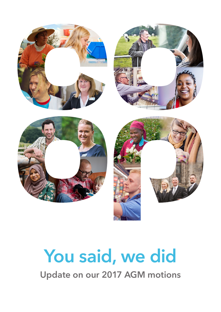

# **You said, we did**

**Update on our 2017 AGM motions**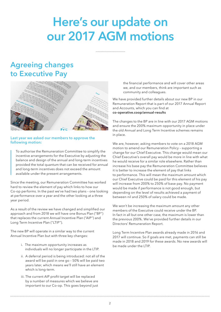## **Here's our update on our 2017 AGM motions**

## **Agreeing changes to Executive Pay**



#### **Last year we asked our members to approve the following motion:**

 To authorise the Remuneration Committee to simplify the incentive arrangements for the Executive by adjusting the balance and design of the annual and long-term incentives provided the total quantum that can be received for annual and long-term incentives does not exceed the amount available under the present arrangements.

Since the meeting, our Remuneration Committee has worked hard to review the element of pay which links to how our Co-op performs. In the past we've had two plans – one looking at performance over a year and the other looking at a three year period.

As a result of the review we have changed and simplified our approach and from 2018 we will have one Bonus Plan ("BP") that replaces the current Annual Incentive Plan ("AIP") and Long Term Incentive Plan ("LTIP").

The new BP will operate in a similar way to the current Annual Incentive Plan but with three key changes:

- i. The maximum opportunity increases as individuals will no longer participate in the LTIP.
- ii. A deferral period is being introduced: not all of the award will be paid in one go – 50% will be paid two years later, which means we'll still have an element which is long-term.
- iii. The current AIP profit target will be replaced by a number of measures which we believe are important to our Co-op. This goes beyond just

the financial performance and will cover other areas we, and our members, think are important such as community and colleagues.

We have provided further details about our new BP in our Remuneration Report that is part of our 2017 Annual Report and Accounts, which you can find at **co-operative.coop/annual-results**

The changes to the BP are in line with our 2017 AGM motions and ensure the 200% maximum opportunity in place under the old Annual and Long Term Incentive schemes remains in place.

We are, however, asking members to vote on a 2018 AGM motion to amend our Remuneration Policy – supporting a change for our Chief Executive. This change would mean our Chief Executive's overall pay would be more in line with what he would receive for a similar role elsewhere. Rather than increase his base pay the Remuneration Committee believes it is better to increase the element of pay that links to performance. This will mean the maximum amount which our Chief Executive could be paid for this element of his pay will increase from 200% to 250% of base pay. No payment would be made if performance is not good enough, but depending on the level of results achieved a payment of between nil and 250% of salary could be made.

We won't be increasing the maximum amount any other members of the Executive could receive under the BP. In fact in all but one other case, the maximum is lower than the previous 200%. We've provided further details in our Directors' Remuneration Report.

Long Term Incentive Plan awards already made in 2016 and 2017 will continue. So if goals are met, payments can still be made in 2018 and 2019 for these awards. No new awards will be made under the LTIP.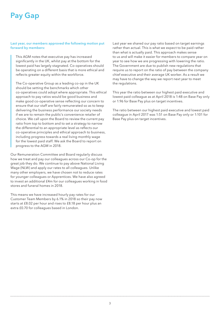## **Pay Gap**

**Last year, our members approved the following motion put forward by members:**

 This AGM notes that executive pay has increased significantly in the UK, whilst pay at the bottom for the lowest paid has largely stagnated. Co-operatives should be operating on a different basis that is more ethical and reflects greater equity within the workforce.

The Co-operative Group as a leading co-op in the UK should be setting the benchmarks which other co-operatives could adopt where appropriate. This ethical approach to pay ratios would be good business and make good co-operative sense reflecting our concern to ensure that our staff are fairly remunerated so as to keep delivering the business performance our society needs if we are to remain the public's convenience retailer of choice. We call upon the Board to review the current pay ratio from top to bottom and to set a strategy to narrow the differential to an appropriate level as reflects our co-operative principles and ethical approach to business, including progress towards a real living monthly wage for the lowest paid staff. We ask the Board to report on progress to the AGM in 2018.

Our Remuneration Committee and Board regularly discuss how we treat and pay our colleagues across our Co-op for the great job they do. We continue to pay above National Living Wage (NLW) and apply our rates to all colleagues. Unlike many other employers, we have chosen not to reduce rates for younger colleagues or Apprentices. We have also agreed to invest an additional £4m for our colleagues working in food stores and funeral homes in 2018.

This means we have increased hourly pay rates for our Customer Team Members by 6.1% in 2018 so their pay now starts at £8.02 per hour and rises to £8.18 per hour plus an extra £0.70 for colleagues based in London.

Last year we shared our pay ratio based on target earnings rather than actual. This is what we expect to be paid rather than what is actually paid. This approach makes sense to us and will make it easier for members to compare year on year to see how we are progressing with lowering the ratio. The Government are due to publish new regulations that require us to report on the ratio of pay between the company chief executive and their average UK worker. As a result we may have to change the way we report next year to meet the regulations.

This year the ratio between our highest paid executive and lowest paid colleague as at April 2018 is 1:48 on Base Pay only or 1:96 for Base Pay plus on target incentives.

The ratio between our highest paid executive and lowest paid colleague in April 2017 was 1:51 on Base Pay only or 1:101 for Base Pay plus on target incentives.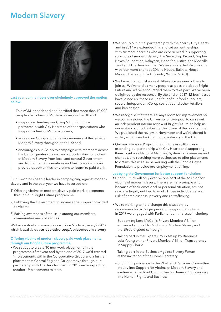## **Modern Slavery**



**Last year our members overwhelmingly approved the motion below:**

This AGM is saddened and horrified that more than 10,000 people are victims of Modern Slavery in the UK and:

- supports extending our Co-op's Bright Future partnership with City Hearts to other organisations who support victims of Modern Slavery;
- agrees our Co-op should raise awareness of the issue of Modern Slavery throughout the UK; and
- encourages our Co-op to campaign with members across the UK for greater support and opportunities for victims of Modern Slavery from local and central Government and from other co-operatives and businesses who can provide opportunities for victims to return to paid work.

Our Co-op has been a leader in campaigning against modern slavery and in the past year we have focussed on:

- 1) Offering victims of modern slavery paid work placements through our Bright Future programme
- 2) Lobbying the Government to increase the support provided to victims
- 3) Raising awareness of the issue among our members, communities and colleagues

We have a short summary of our work on Modern Slavery in 2017 which is available at **co-operative.coop/ethics/modern-slavery**

#### **Offering victims of modern slavery paid work placements through our Bright Future programme**

• We set out to create 30 new work placements in the programme's first year and by the end of 2017 we'd created 14 placements within the Co-operative Group and a further placement at Central England Co-operative through our partnership with The Jericho Trust. In 2018 we're expecting another 19 placements to start.

- We set up our initial partnership with the charity City Hearts and in 2017 we extended this and set up partnerships with six more charities who are experienced in supporting survivors of modern slavery: the Snowdrop Project, Sophie Hayes Foundation, Kalayaan, Hope for Justice, the Medaille Trust and The Jericho Trust. We've also started discussions with four more charities (Olallo House, Bakhita House, Migrant Help and Black Country Women's Aid).
- We know that to make a real difference we need others to join us. We've told as many people as possible about Bright Future and we've encouraged them to take part. We've been delighted by the response. By the end of 2017, 12 businesses have joined us; these include four of our food suppliers, several independent Co-op societies and other retailers and businesses.
- We recognise that there's always room for improvement so we commissioned the University of Liverpool to carry out an independent interim review of Bright Future, to help us understand opportunities for the future of the programme. We published the review in November and we've shared it widely with those tackling modern slavery in the UK.
- Our next steps on Project Bright Future in 2018 include extending our partnership with City Hearts and supporting them to set up a National Matching System for businesses and charities, and recruiting more businesses to offer placements to victims. We will also be working with the Sophie Hayes Foundation to provide pre-employment training.

#### **Lobbying the Government for better support for victims**

- Bright Future will only ever be one part of the solution for victims of modern slavery. There are many people who, because of their emotional or personal situation, are not ready or legally entitled to work. Those individuals are at risk of homelessness, poverty and re-trafficking.
- We're working to help change this situation, by recommending a longer period of support for victims. In 2017 we engaged with Parliament on this issue including:
- Supporting Lord McColl's Private Members' Bill on enhanced support for Victims of Modern Slavery and the #Freeforgood campaign
- Taking part in the Expert Group set up by Baroness Lola Young on her Private Members' Bill on Transparency in Supply Chains
- Taking part in the Business Against Slavery Forum at the invitation of the Home Secretary
- Submitting evidence to the Work and Pensions Committee inquiry into Support for Victims of Modern Slavery and evidence to the Joint Committee on Human Rights inquiry into Human Rights and Business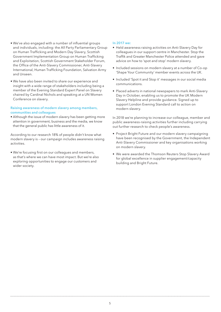- We've also engaged with a number of influential groups and individuals, including: the All Party Parliamentary Group on Human Trafficking and Modern Day Slavery, Scottish Government Implementation Group on Human Trafficking and Exploitation, Scottish Government Stakeholder Forum, the Office of the Anti-Slavery Commissioner, Anti-Slavery International, Human Trafficking Foundation, Salvation Army and Unseen.
- We have also been invited to share our experience and insight with a wide range of stakeholders including being a member of the Evening Standard Expert Panel on Slavery chaired by Cardinal Nichols and speaking at a UN Women Conference on slavery.

#### **Raising awareness of modern slavery among members, communities and colleagues**

• Although the issue of modern slavery has been getting more attention in government, business and the media, we know that the general public has little awareness of it.

According to our research 18% of people didn't know what modern slavery is – our campaign includes awareness raising activities.

• We're focusing first on our colleagues and members, as that's where we can have most impact. But we're also exploring opportunities to engage our customers and wider society.

#### **In 2017 we:**

- Held awareness raising activities on Anti-Slavery Day for colleagues in our support centre in Manchester. Stop the Traffik and Greater Manchester Police attended and gave advice on how to 'spot and stop' modern slavery.
- Included sessions on modern slavery at a number of Co-op 'Shape Your Community' member events across the UK.
- Included 'Spot it and Stop it' messages in our social media communications.
- Placed adverts in national newspapers to mark Anti-Slavery Day in October, enabling us to promote the UK Modern Slavery Helpline and provide guidance. Signed up to support London Evening Standard call to action on modern slavery.

In 2018 we're planning to increase our colleague, member and public awareness-raising activities further including carrying out further research to check people's awareness.

- Project Bright Future and our modern slavery campaigning have been recognised by the Government, the Independent Anti-Slavery Commissioner and key organisations working on modern slavery.
- We were awarded the Thomson Reuters Stop Slavery Award for global excellence in supplier engagement/capacity building and Bright Future.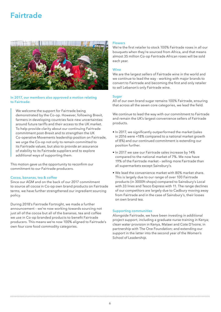## **Fairtrade**



#### **In 2017, our members also approved a motion relating to Fairtrade:**

 We welcome the support for Fairtrade being demonstrated by the Co-op. However, following Brexit, farmers in developing countries face new uncertainties around future tariffs and their access to the UK market. To help provide clarity about our continuing Fairtrade commitment post-Brexit and to strengthen the UK Co-operative Movements leadership position on Fairtrade, we urge the Co-op not only to remain committed to its Fairtrade values, but also to provide an assurance of stability to its Fairtrade suppliers and to explore additional ways of supporting them.

This motion gave us the opportunity to reconfirm our commitment to our Fairtrade producers.

#### **Cocoa, bananas, tea & coffee**

Since our AGM and on the back of our 2017 commitment to source all cocoa in Co-op own brand products on Fairtrade terms, we have further strengthened our ingredient sourcing policy.

During 2018's Fairtrade Fortnight, we made a further announcement – we're now working towards sourcing not just all of the cocoa but all of the bananas, tea and coffee we use in Co-op branded products to benefit Fairtrade producers. This means we're now 100% aligned to Fairtrade's own four core food commodity categories.

#### **Flowers**

We're the first retailer to stock 100% Fairtrade roses in all our bouquets when they're sourced from Africa, and that means almost 35 million Co-op Fairtrade African roses will be sold each year.

#### **Wine**

We are the largest sellers of Fairtrade wine in the world and we continue to lead the way - working with major brands to convert to Fairtrade and becoming the first and only retailer to sell Lebanon's only Fairtrade wine.

#### **Sugar**

All of our own brand sugar remains 100% Fairtrade, ensuring that across all the seven core categories, we lead the field.

We continue to lead the way with our commitment to Fairtrade and remain the UK's largest convenience sellers of Fairtrade products.

- In 2017, we significantly outperformed the market (sales in 2016 were +18% compared to a national market growth of 8%) and our continued commitment is extending our position further.
- In 2017 we saw our Fairtrade sales increase by 14% compared to the national market of 7%. We now have 19% of the Fairtrade market – selling more Fairtrade than all supermarkets except Sainsbury's.
- We lead the convenience market with 80% market share. This is largely due to our range of over 100 Fairtrade products (in 3000ft shops) compared to Sainsbury's Local with 33 lines and Tesco Express with 11. The range declines of our competitors are largely due to Cadbury moving away from Fairtrade and in the case of Sainsbury's, their losses on own brand tea.

#### **Supporting communities**

Alongside Fairtrade, we have been investing in additional project support, including a graduate nurse training in Kenya; clean water provision in Kenya, Malawi and Cote D'Ivoire, in partnership with The One Foundation; and extending our support in the latter into the second year of the Women's School of Leadership.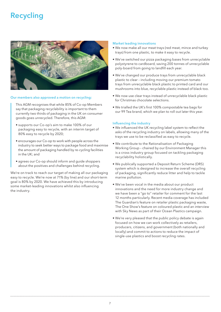## **Recycling**



#### **Our members also approved a motion on recycling:**

 This AGM recognises that while 85% of Co-op Members say that packaging recyclability is important to them currently two thirds of packaging in the UK on consumer goods goes unrecycled. Therefore, this AGM:

- supports our Co-op's aim to make 100% of our packaging easy to recycle, with an interim target of 80% easy to recycle by 2020;
- encourages our Co-op to work with people across the industry to seek better ways to package food and maximise the amount of packaging handled by re-cycling facilities in the UK; and
- agrees our Co-op should inform and guide shoppers about the positives and challenges behind recycling.

We're on track to reach our target of making all our packaging easy to recycle. We're now at 71% (by line) and our short-term goal is 80% by 2020. We have achieved this by introducing some market-leading innovations whilst also influencing the industry.

#### **Market leading innovations**

- We now make all our meat trays (red meat, mince and turkey trays) from one plastic, to make it easy to recycle.
- We've switched our pizza packaging bases from unrecyclable polystyrene to cardboard, saving 200 tonnes of unrecyclable poly-board from going to landfill each year.
- We've changed our produce trays from unrecyclable black plastic to clear – including moving our premium tomato trays from unrecyclable black plastic to printed card and our mushrooms into blue, recyclable plastic instead of black too.
- We now use clear trays instead of unrecyclable black plastic for Christmas chocolate selections.
- We trialled the UK's first 100% compostable tea bags for our 99 Tea brand, which we plan to roll out later this year.

#### **Influencing the industry**

- We influenced the UK recycling label system to reflect the asks of the recycling industry on labels, allowing many of the trays we use to be reclassified as easy to recycle.
- We contribute to the Rationalisation of Packaging Working Group – chaired by our Environment Manager this is a cross industry group focused on tackling packaging recyclability holistically.
- We publically supported a Deposit Return Scheme (DRS) system which is designed to increase the overall recycling of packaging, significantly reduce litter and help to tackle marine pollution.
- We've been vocal in the media about our product innovations and the need for more industry change and we have been a "go to" retailer for comment for the last 12 months particularly. Recent media coverage has included The Guardian's feature on retailer plastic packaging waste, The One Show's feature on coloured plastic and an interview with Sky News as part of their Ocean Plastics campaign.
- We're very pleased that the public policy debate is again focused on how we can work collectively as retailers, producers, citizens, and government (both nationally and locally) and commit to actions to reduce the impact of single-use plastics and boost recycling rates.